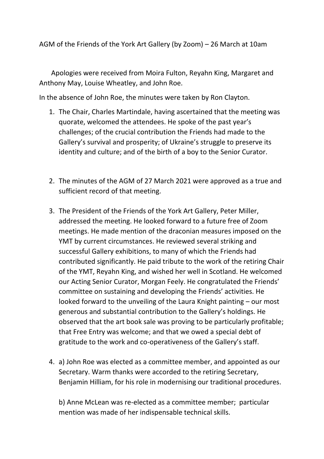AGM of the Friends of the York Art Gallery (by Zoom) – 26 March at 10am

 Apologies were received from Moira Fulton, Reyahn King, Margaret and Anthony May, Louise Wheatley, and John Roe.

In the absence of John Roe, the minutes were taken by Ron Clayton.

- 1. The Chair, Charles Martindale, having ascertained that the meeting was quorate, welcomed the attendees. He spoke of the past year's challenges; of the crucial contribution the Friends had made to the Gallery's survival and prosperity; of Ukraine's struggle to preserve its identity and culture; and of the birth of a boy to the Senior Curator.
- 2. The minutes of the AGM of 27 March 2021 were approved as a true and sufficient record of that meeting.
- 3. The President of the Friends of the York Art Gallery, Peter Miller, addressed the meeting. He looked forward to a future free of Zoom meetings. He made mention of the draconian measures imposed on the YMT by current circumstances. He reviewed several striking and successful Gallery exhibitions, to many of which the Friends had contributed significantly. He paid tribute to the work of the retiring Chair of the YMT, Reyahn King, and wished her well in Scotland. He welcomed our Acting Senior Curator, Morgan Feely. He congratulated the Friends' committee on sustaining and developing the Friends' activities. He looked forward to the unveiling of the Laura Knight painting – our most generous and substantial contribution to the Gallery's holdings. He observed that the art book sale was proving to be particularly profitable; that Free Entry was welcome; and that we owed a special debt of gratitude to the work and co-operativeness of the Gallery's staff.
- 4. a) John Roe was elected as a committee member, and appointed as our Secretary. Warm thanks were accorded to the retiring Secretary, Benjamin Hilliam, for his role in modernising our traditional procedures.

b) Anne McLean was re-elected as a committee member; particular mention was made of her indispensable technical skills.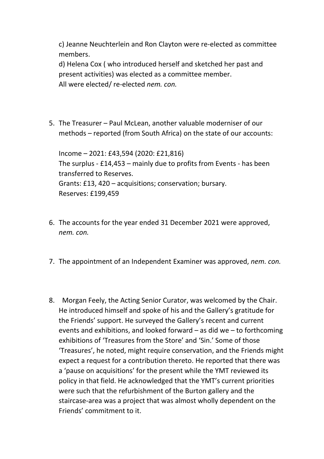c) Jeanne Neuchterlein and Ron Clayton were re-elected as committee members.

d) Helena Cox ( who introduced herself and sketched her past and present activities) was elected as a committee member. All were elected/ re-elected *nem. con.*

5. The Treasurer – Paul McLean, another valuable moderniser of our methods – reported (from South Africa) on the state of our accounts:

Income – 2021: £43,594 (2020: £21,816) The surplus - £14,453 – mainly due to profits from Events - has been transferred to Reserves. Grants: £13, 420 – acquisitions; conservation; bursary. Reserves: £199,459

- 6. The accounts for the year ended 31 December 2021 were approved, *nem. con.*
- 7. The appointment of an Independent Examiner was approved, *nem. con.*
- 8. Morgan Feely, the Acting Senior Curator, was welcomed by the Chair. He introduced himself and spoke of his and the Gallery's gratitude for the Friends' support. He surveyed the Gallery's recent and current events and exhibitions, and looked forward – as did we – to forthcoming exhibitions of 'Treasures from the Store' and 'Sin.' Some of those 'Treasures', he noted, might require conservation, and the Friends might expect a request for a contribution thereto. He reported that there was a 'pause on acquisitions' for the present while the YMT reviewed its policy in that field. He acknowledged that the YMT's current priorities were such that the refurbishment of the Burton gallery and the staircase-area was a project that was almost wholly dependent on the Friends' commitment to it.